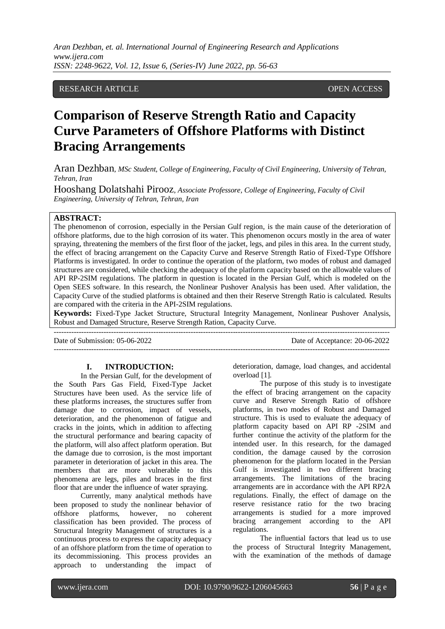#### RESEARCH ARTICLE **CONSERVANCE OPEN ACCESS**

## **Comparison of Reserve Strength Ratio and Capacity Curve Parameters of Offshore Platforms with Distinct Bracing Arrangements**

Aran Dezhban, *MSc Student, College of Engineering, Faculty of Civil Engineering, University of Tehran, Tehran, Iran*

Hooshang Dolatshahi Pirooz, *Associate Professore, College of Engineering, Faculty of Civil Engineering, University of Tehran, Tehran, Iran*

#### **ABSTRACT:**

The phenomenon of corrosion, especially in the Persian Gulf region, is the main cause of the deterioration of offshore platforms, due to the high corrosion of its water. This phenomenon occurs mostly in the area of water spraying, threatening the members of the first floor of the jacket, legs, and piles in this area. In the current study, the effect of bracing arrangement on the Capacity Curve and Reserve Strength Ratio of Fixed-Type Offshore Platforms is investigated. In order to continue the operation of the platform, two modes of robust and damaged structures are considered, while checking the adequacy of the platform capacity based on the allowable values of API RP-2SIM regulations. The platform in question is located in the Persian Gulf, which is modeled on the Open SEES software. In this research, the Nonlinear Pushover Analysis has been used. After validation, the Capacity Curve of the studied platforms is obtained and then their Reserve Strength Ratio is calculated. Results are compared with the criteria in the API-2SIM regulations.

**Keywords:** Fixed-Type Jacket Structure, Structural Integrity Management, Nonlinear Pushover Analysis, Robust and Damaged Structure, Reserve Strength Ration, Capacity Curve. ---------------------------------------------------------------------------------------------------------------------------------------

Date of Submission: 05-06-2022 Date of Acceptance: 20-06-2022

---------------------------------------------------------------------------------------------------------------------------------------

#### **I. INTRODUCTION:**

In the Persian Gulf, for the development of the South Pars Gas Field, Fixed-Type Jacket Structures have been used. As the service life of these platforms increases, the structures suffer from damage due to corrosion, impact of vessels, deterioration, and the phenomenon of fatigue and cracks in the joints, which in addition to affecting the structural performance and bearing capacity of the platform, will also affect platform operation. But the damage due to corrosion, is the most important parameter in deterioration of jacket in this area. The members that are more vulnerable to this phenomena are legs, piles and braces in the first floor that are under the influence of water spraying.

Currently, many analytical methods have been proposed to study the nonlinear behavior of offshore platforms, however, no coherent classification has been provided. The process of Structural Integrity Management of structures is a continuous process to express the capacity adequacy of an offshore platform from the time of operation to its decommissioning. This process provides an approach to understanding the impact of deterioration, damage, load changes, and accidental overload [1].

The purpose of this study is to investigate the effect of bracing arrangement on the capacity curve and Reserve Strength Ratio of offshore platforms, in two modes of Robust and Damaged structure. This is used to evaluate the adequacy of platform capacity based on API RP -2SIM and further continue the activity of the platform for the intended user. In this research, for the damaged condition, the damage caused by the corrosion phenomenon for the platform located in the Persian Gulf is investigated in two different bracing arrangements. The limitations of the bracing arrangements are in accordance with the API RP2A regulations. Finally, the effect of damage on the reserve resistance ratio for the two bracing arrangements is studied for a more improved bracing arrangement according to the API regulations.

The influential factors that lead us to use the process of Structural Integrity Management, with the examination of the methods of damage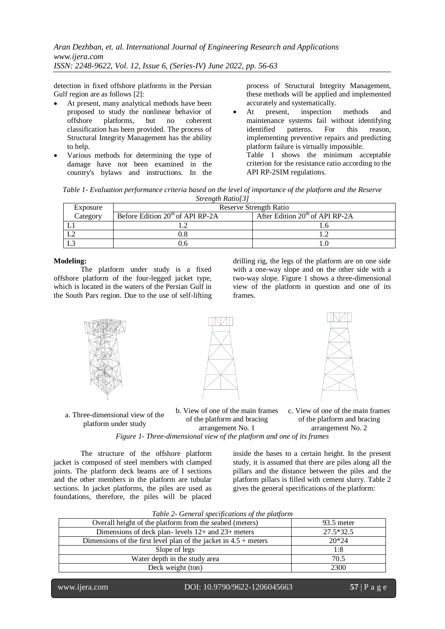*Aran Dezhban, et. al. International Journal of Engineering Research and Applications www.ijera.com ISSN: 2248-9622, Vol. 12, Issue 6, (Series-IV) June 2022, pp. 56-63*

detection in fixed offshore platforms in the Persian Gulf region are as follows [2]:

- At present, many analytical methods have been proposed to study the nonlinear behavior of<br>offshore platforms, but no coherent platforms, but no coherent classification has been provided. The process of Structural Integrity Management has the ability to help.
- Various methods for determining the type of damage have not been examined in the country's bylaws and instructions. In the

process of Structural Integrity Management, these methods will be applied and implemented accurately and systematically.

 At present, inspection methods and maintenance systems fail without identifying identified patterns. For this reason, implementing preventive repairs and predicting platform failure is virtually impossible. Table 1 shows the minimum acceptable criterion for the resistance ratio according to the API RP-2SIM regulations.

*Table 1- Evaluation performance criteria based on the level of importance of the platform and the Reserve Strength Ratio[3]*

| Exposure | <b>Reserve Strength Ratio</b>      |                                   |  |  |  |  |
|----------|------------------------------------|-----------------------------------|--|--|--|--|
| Category | Before Edition $20th$ of API RP-2A | After Edition $20th$ of API RP-2A |  |  |  |  |
|          |                                    |                                   |  |  |  |  |
|          |                                    |                                   |  |  |  |  |
|          |                                    |                                   |  |  |  |  |

#### **Modeling:**

The platform under study is a fixed offshore platform of the four-legged jacket type, which is located in the waters of the Persian Gulf in the South Pars region. Due to the use of self-lifting drilling rig, the legs of the platform are on one side with a one-way slope and on the other side with a two-way slope. Figure 1 shows a three-dimensional view of the platform in question and one of its frames.



a. Three-dimensional view of the platform under study

b. View of one of the main frames of the platform and bracing arrangement No. 1



*Figure 1- Three-dimensional view of the platform and one of its frames*

The structure of the offshore platform jacket is composed of steel members with clamped joints. The platform deck beams are of I sections and the other members in the platform are tubular sections. In jacket platforms, the piles are used as foundations, therefore, the piles will be placed inside the bases to a certain height. In the present study, it is assumed that there are piles along all the pillars and the distance between the piles and the platform pillars is filled with cement slurry. Table 2 gives the general specifications of the platform:

| Overall height of the platform from the seabed (meters)            | 93.5 meter |
|--------------------------------------------------------------------|------------|
| Dimensions of deck plan-levels $12+$ and $23+$ meters              | 27.5*32.5  |
| Dimensions of the first level plan of the jacket in $4.5 +$ meters | $20*24$    |
| Slope of legs                                                      | 1:8        |
| Water depth in the study area                                      | 70.5       |
| Deck weight (ton)                                                  | 2300       |

*Table 2- General specifications of the platform*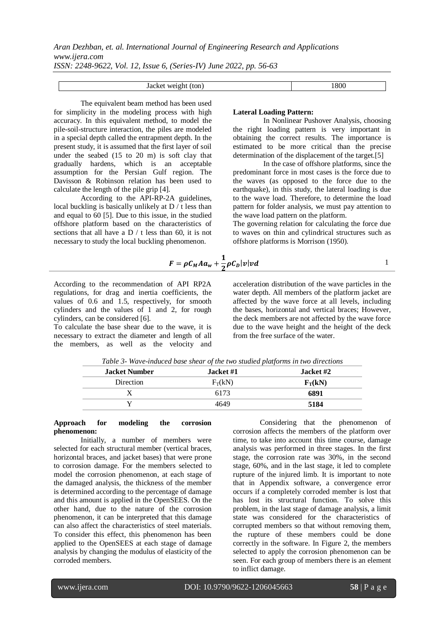*ISSN: 2248-9622, Vol. 12, Issue 6, (Series-IV) June 2022, pp. 56-63*

 $\bm{F}$ 

| Jacket weight (ton) | .800 |
|---------------------|------|

The equivalent beam method has been used for simplicity in the modeling process with high accuracy. In this equivalent method, to model the pile-soil-structure interaction, the piles are modeled in a special depth called the entrapment depth. In the present study, it is assumed that the first layer of soil under the seabed (15 to 20 m) is soft clay that gradually hardens, which is an acceptable assumption for the Persian Gulf region. The Davisson & Robinson relation has been used to calculate the length of the pile grip [4].

According to the API-RP-2A guidelines, local buckling is basically unlikely at  $D / t$  less than and equal to 60 [5]. Due to this issue, in the studied offshore platform based on the characteristics of sections that all have a  $D / t$  less than 60, it is not necessary to study the local buckling phenomenon.

#### **Lateral Loading Pattern:**

In Nonlinear Pushover Analysis, choosing the right loading pattern is very important in obtaining the correct results. The importance is estimated to be more critical than the precise determination of the displacement of the target.[5]

In the case of offshore platforms, since the predominant force in most cases is the force due to the waves (as opposed to the force due to the earthquake), in this study, the lateral loading is due to the wave load. Therefore, to determine the load pattern for folder analysis, we must pay attention to the wave load pattern on the platform.

The governing relation for calculating the force due to waves on thin and cylindrical structures such as offshore platforms is Morrison (1950).

$$
= \rho C_M A a_w + \frac{1}{2} \rho C_D |v| v d
$$

According to the recommendation of API RP2A regulations, for drag and inertia coefficients, the values of 0.6 and 1.5, respectively, for smooth cylinders and the values of 1 and 2, for rough cylinders, can be considered [6].

To calculate the base shear due to the wave, it is necessary to extract the diameter and length of all the members, as well as the velocity and acceleration distribution of the wave particles in the water depth. All members of the platform jacket are affected by the wave force at all levels, including the bases, horizontal and vertical braces; However, the deck members are not affected by the wave force due to the wave height and the height of the deck from the free surface of the water.

| <b>Jacket Number</b> | Jacket #1 | <b>Jacket #2</b> |
|----------------------|-----------|------------------|
| <b>Direction</b>     | $F_T(kN)$ | $F_T(kN)$        |
|                      | 6173      | 6891             |
|                      | 4649      | 5184             |

# **Approach for modeling the corrosion**

**phenomenon:** Initially, a number of members were

selected for each structural member (vertical braces, horizontal braces, and jacket bases) that were prone to corrosion damage. For the members selected to model the corrosion phenomenon, at each stage of the damaged analysis, the thickness of the member is determined according to the percentage of damage and this amount is applied in the OpenSEES. On the other hand, due to the nature of the corrosion phenomenon, it can be interpreted that this damage can also affect the characteristics of steel materials. To consider this effect, this phenomenon has been applied to the OpenSEES at each stage of damage analysis by changing the modulus of elasticity of the corroded members.

Considering that the phenomenon of corrosion affects the members of the platform over time, to take into account this time course, damage analysis was performed in three stages. In the first stage, the corrosion rate was 30%, in the second stage, 60%, and in the last stage, it led to complete rupture of the injured limb. It is important to note that in Appendix software, a convergence error occurs if a completely corroded member is lost that has lost its structural function. To solve this problem, in the last stage of damage analysis, a limit state was considered for the characteristics of corrupted members so that without removing them, the rupture of these members could be done correctly in the software. In Figure 2, the members selected to apply the corrosion phenomenon can be seen. For each group of members there is an element to inflict damage.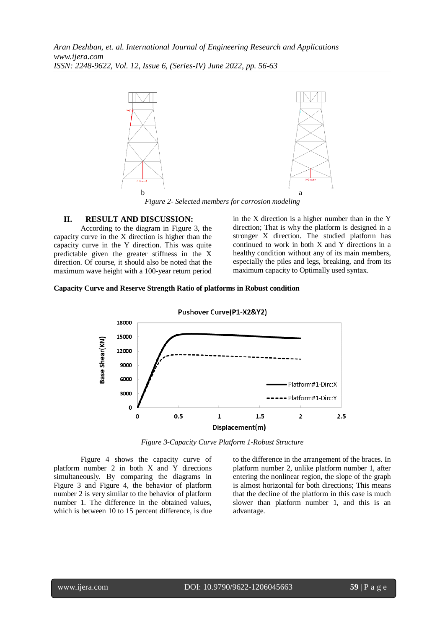

*Figure 2- Selected members for corrosion modeling*

#### **II. RESULT AND DISCUSSION:**

According to the diagram in Figure 3, the capacity curve in the X direction is higher than the capacity curve in the Y direction. This was quite predictable given the greater stiffness in the X direction. Of course, it should also be noted that the maximum wave height with a 100-year return period in the X direction is a higher number than in the Y direction; That is why the platform is designed in a stronger X direction. The studied platform has continued to work in both X and Y directions in a healthy condition without any of its main members, especially the piles and legs, breaking, and from its maximum capacity to Optimally used syntax.

#### **Capacity Curve and Reserve Strength Ratio of platforms in Robust condition**





Figure 4 shows the capacity curve of platform number 2 in both X and Y directions simultaneously. By comparing the diagrams in Figure 3 and Figure 4, the behavior of platform number 2 is very similar to the behavior of platform number 1. The difference in the obtained values, which is between 10 to 15 percent difference, is due to the difference in the arrangement of the braces. In platform number 2, unlike platform number 1, after entering the nonlinear region, the slope of the graph is almost horizontal for both directions; This means that the decline of the platform in this case is much slower than platform number 1, and this is an advantage.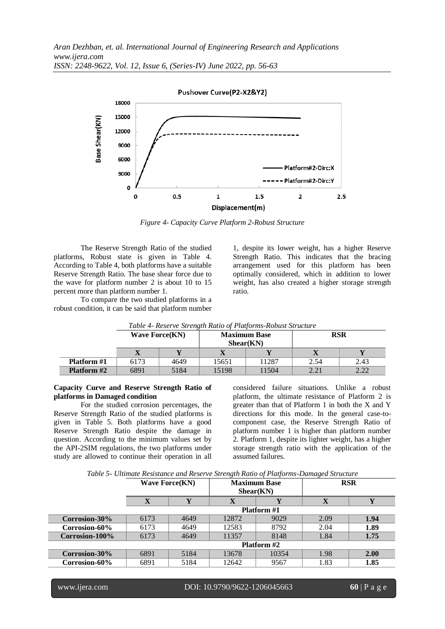

*Figure 4- Capacity Curve Platform 2-Robust Structure*

The Reserve Strength Ratio of the studied platforms, Robust state is given in Table 4. According to Table 4, both platforms have a suitable Reserve Strength Ratio. The base shear force due to the wave for platform number 2 is about 10 to 15 percent more than platform number 1.

To compare the two studied platforms in a robust condition, it can be said that platform number

1, despite its lower weight, has a higher Reserve Strength Ratio. This indicates that the bracing arrangement used for this platform has been optimally considered, which in addition to lower weight, has also created a higher storage strength ratio.

|                    | Table 4- Reserve Strength Ratio of Platforms-Robust Structure |      |                                  |       |      |            |  |  |  |
|--------------------|---------------------------------------------------------------|------|----------------------------------|-------|------|------------|--|--|--|
|                    | <b>Wave Force (KN)</b>                                        |      | <b>Maximum Base</b><br>Shear(KN) |       |      | <b>RSR</b> |  |  |  |
|                    |                                                               |      |                                  |       |      |            |  |  |  |
| <b>Platform</b> #1 | 6173                                                          | 4649 | 15651                            | 11287 | 2.54 | 2.43       |  |  |  |
| <b>Platform #2</b> | 6891                                                          | 5184 | 15198                            | 11504 | 2.21 | 222        |  |  |  |

*Table 4- Reserve Strength Ratio of Platforms-Robust Structure*

#### **Capacity Curve and Reserve Strength Ratio of platforms in Damaged condition**

For the studied corrosion percentages, the Reserve Strength Ratio of the studied platforms is given in Table 5. Both platforms have a good Reserve Strength Ratio despite the damage in question. According to the minimum values set by the API-2SIM regulations, the two platforms under study are allowed to continue their operation in all considered failure situations. Unlike a robust platform, the ultimate resistance of Platform 2 is greater than that of Platform 1 in both the X and Y directions for this mode. In the general case-tocomponent case, the Reserve Strength Ratio of platform number 1 is higher than platform number 2. Platform 1, despite its lighter weight, has a higher storage strength ratio with the application of the assumed failures.

|  | Table 5- Ultimate Resistance and Reserve Strength Ratio of Platforms-Damaged Structure |  |  |
|--|----------------------------------------------------------------------------------------|--|--|
|--|----------------------------------------------------------------------------------------|--|--|

|                | <b>Wave Force (KN)</b> |      | <b>Maximum Base</b><br>Shear(KN) |                    | <b>RSR</b> |      |
|----------------|------------------------|------|----------------------------------|--------------------|------------|------|
|                | Y<br>X                 |      | $\mathbf{X}$                     |                    |            | Y    |
|                |                        |      |                                  | <b>Platform #1</b> |            |      |
| Corrosion-30%  | 6173                   | 4649 | 12872                            | 9029               | 2.09       | 1.94 |
| Corrosion-60%  | 6173                   | 4649 | 12583                            | 8792               | 2.04       | 1.89 |
| Corrosion-100% | 6173                   | 4649 | 11357                            | 8148               | 1.84       | 1.75 |
|                | <b>Platform #2</b>     |      |                                  |                    |            |      |
| Corrosion-30%  | 6891                   | 5184 | 13678                            | 10354              | 1.98       | 2.00 |
| Corrosion-60%  | 6891                   | 5184 | 12642                            | 9567               | 1.83       | 1.85 |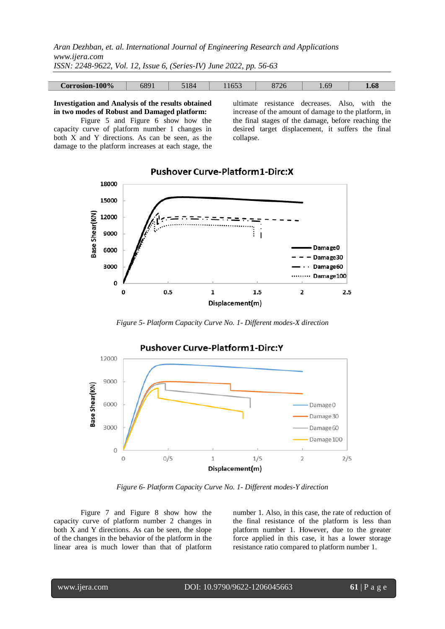*Aran Dezhban, et. al. International Journal of Engineering Research and Applications www.ijera.com ISSN: 2248-9622, Vol. 12, Issue 6, (Series-IV) June 2022, pp. 56-63*

| Corrosion-100% | 6891 | $518\Delta$<br>$\cdot$ . $\circ$ . | $  -$<br>.1655 | 072 <sub>6</sub><br>$01\angle 0$ | 1.69 | $\epsilon$<br>1.68 |
|----------------|------|------------------------------------|----------------|----------------------------------|------|--------------------|

**Investigation and Analysis of the results obtained in two modes of Robust and Damaged platform:**

Figure 5 and Figure 6 show how the capacity curve of platform number 1 changes in both X and Y directions. As can be seen, as the damage to the platform increases at each stage, the ultimate resistance decreases. Also, with the increase of the amount of damage to the platform, in the final stages of the damage, before reaching the desired target displacement, it suffers the final collapse.



### **Pushover Curve-Platform1-Dirc:X**

*Figure 5- Platform Capacity Curve No. 1- Different modes-X direction*



*Figure 6- Platform Capacity Curve No. 1- Different modes-Y direction*

Figure 7 and Figure 8 show how the capacity curve of platform number 2 changes in both X and Y directions. As can be seen, the slope of the changes in the behavior of the platform in the linear area is much lower than that of platform number 1. Also, in this case, the rate of reduction of the final resistance of the platform is less than platform number 1. However, due to the greater force applied in this case, it has a lower storage resistance ratio compared to platform number 1.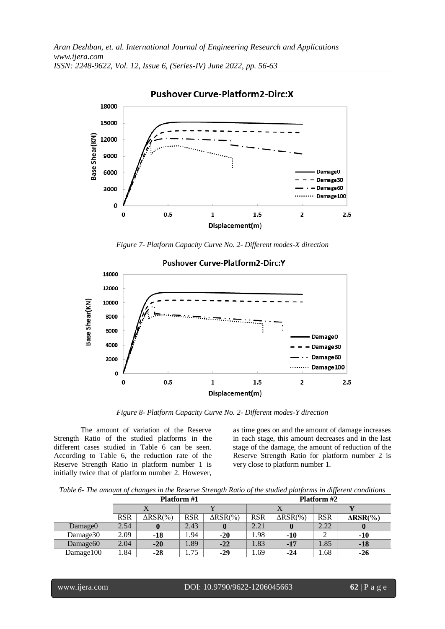**Pushover Curve-Platform2-Dirc:X** 



*Figure 7- Platform Capacity Curve No. 2- Different modes-X direction*



*Figure 8- Platform Capacity Curve No. 2- Different modes-Y direction*

The amount of variation of the Reserve Strength Ratio of the studied platforms in the different cases studied in Table 6 can be seen. According to Table 6, the reduction rate of the Reserve Strength Ratio in platform number 1 is initially twice that of platform number 2. However, as time goes on and the amount of damage increases in each stage, this amount decreases and in the last stage of the damage, the amount of reduction of the Reserve Strength Ratio for platform number 2 is very close to platform number 1.

*Table 6- The amount of changes in the Reserve Strength Ratio of the studied platforms in different conditions* 

|                      | $\sim$<br><b>Platform #1</b> |                 |            |                  |            | $\cdot$<br><b>Platform #2</b> |            |                  |  |
|----------------------|------------------------------|-----------------|------------|------------------|------------|-------------------------------|------------|------------------|--|
|                      |                              |                 |            |                  |            |                               |            |                  |  |
|                      | <b>RSR</b>                   | $\Delta$ RSR(%) | <b>RSR</b> | $\Delta RSR$ (%) | <b>RSR</b> | $\Delta RSR(\%)$              | <b>RSR</b> | $\Delta RSR$ (%) |  |
| Damage0              | 2.54                         |                 | 2.43       | $\bf{0}$         | 2.21       |                               | 2.22       |                  |  |
| Damage <sup>30</sup> | 2.09                         | $-18$           | 1.94       | $-20$            | 1.98       | -10                           |            | $-10$            |  |
| Damage <sub>60</sub> | 2.04                         | $-20$           | 1.89       | $-22$            | 1.83       | $-17$                         | 1.85       | $-18$            |  |
| Damage100            | .84                          | $-28$           | 1.75       | $-29$            | 1.69       | $-24$                         | .68        | $-26$            |  |